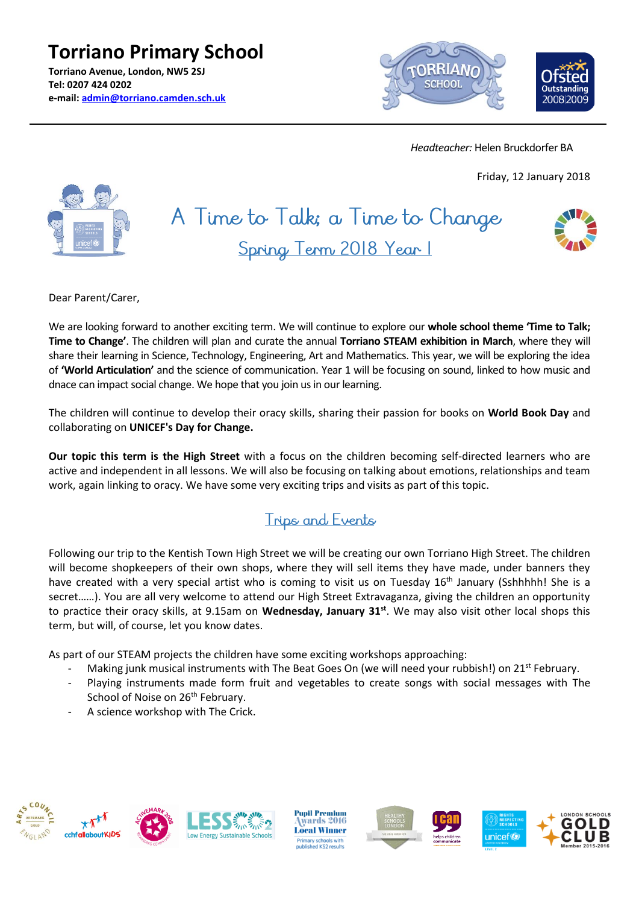**Torriano Primary School Torriano Avenue, London, NW5 2SJ Tel: 0207 424 0202 e-mail: [admin@torriano.camden.sch.uk](mailto:admin@torriano.camden.sch.uk)**



 *Headteacher:* Helen Bruckdorfer BA

Friday, 12 January 2018



# A Time to Talk; a Time to Change Spring Term 2018 Year I



Dear Parent/Carer,

We are looking forward to another exciting term. We will continue to explore our **whole school theme 'Time to Talk; Time to Change'**. The children will plan and curate the annual **Torriano STEAM exhibition in March**, where they will share their learning in Science, Technology, Engineering, Art and Mathematics. This year, we will be exploring the idea of **'World Articulation'** and the science of communication. Year 1 will be focusing on sound, linked to how music and dnace can impact social change. We hope that you join us in our learning.

The children will continue to develop their oracy skills, sharing their passion for books on **World Book Day** and collaborating on **UNICEF's Day for Change.**

**Our topic this term is the High Street** with a focus on the children becoming self-directed learners who are active and independent in all lessons. We will also be focusing on talking about emotions, relationships and team work, again linking to oracy. We have some very exciting trips and visits as part of this topic.

# Trips and Events

Following our trip to the Kentish Town High Street we will be creating our own Torriano High Street. The children will become shopkeepers of their own shops, where they will sell items they have made, under banners they have created with a very special artist who is coming to visit us on Tuesday 16<sup>th</sup> January (Sshhhhh! She is a secret……). You are all very welcome to attend our High Street Extravaganza, giving the children an opportunity to practice their oracy skills, at 9.15am on **Wednesday, January 31st**. We may also visit other local shops this term, but will, of course, let you know dates.

As part of our STEAM projects the children have some exciting workshops approaching:

- Making junk musical instruments with The Beat Goes On (we will need your rubbish!) on 21<sup>st</sup> February.
- Playing instruments made form fruit and vegetables to create songs with social messages with The School of Noise on 26<sup>th</sup> February.
- A science workshop with The Crick.



**Pupil Premium** wards 2016 **Local Winner** Primary schools with<br>Iublished KS2 results







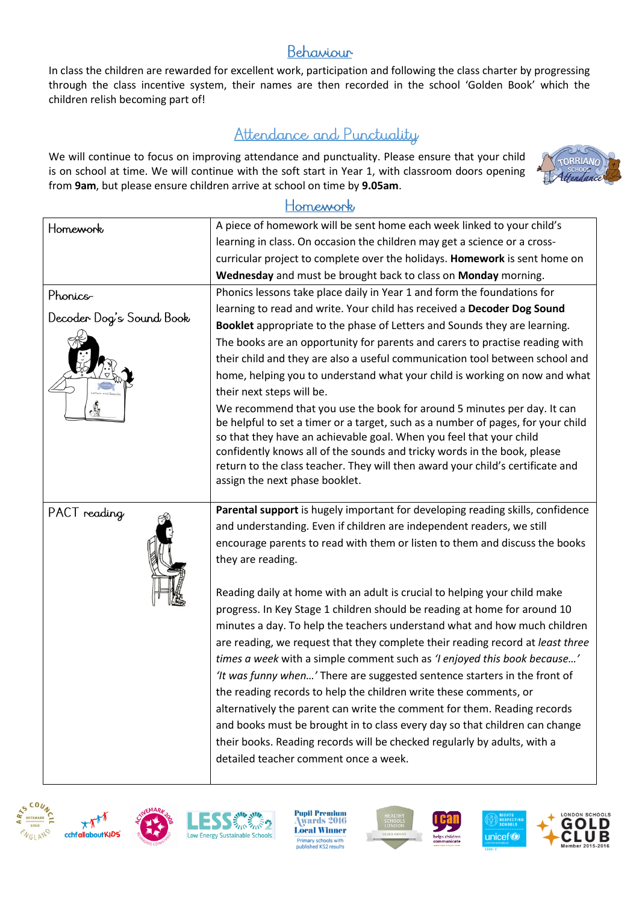## Behaviour

In class the children are rewarded for excellent work, participation and following the class charter by progressing through the class incentive system, their names are then recorded in the school 'Golden Book' which the children relish becoming part of!

## Attendance and Punctuality

We will continue to focus on improving attendance and punctuality. Please ensure that your child is on school at time. We will continue with the soft start in Year 1, with classroom doors opening from **9am**, but please ensure children arrive at school on time by **9.05am**.



#### Homework

| Homework                 | A piece of homework will be sent home each week linked to your child's                                                                                                                                                                                                                                                                                                                                                             |
|--------------------------|------------------------------------------------------------------------------------------------------------------------------------------------------------------------------------------------------------------------------------------------------------------------------------------------------------------------------------------------------------------------------------------------------------------------------------|
|                          | learning in class. On occasion the children may get a science or a cross-                                                                                                                                                                                                                                                                                                                                                          |
|                          | curricular project to complete over the holidays. Homework is sent home on                                                                                                                                                                                                                                                                                                                                                         |
|                          | Wednesday and must be brought back to class on Monday morning.                                                                                                                                                                                                                                                                                                                                                                     |
| Phonics-                 | Phonics lessons take place daily in Year 1 and form the foundations for                                                                                                                                                                                                                                                                                                                                                            |
| Decoder Dog's Sound Book | learning to read and write. Your child has received a Decoder Dog Sound                                                                                                                                                                                                                                                                                                                                                            |
|                          | Booklet appropriate to the phase of Letters and Sounds they are learning.                                                                                                                                                                                                                                                                                                                                                          |
|                          | The books are an opportunity for parents and carers to practise reading with                                                                                                                                                                                                                                                                                                                                                       |
|                          | their child and they are also a useful communication tool between school and                                                                                                                                                                                                                                                                                                                                                       |
|                          | home, helping you to understand what your child is working on now and what<br>their next steps will be.                                                                                                                                                                                                                                                                                                                            |
|                          | We recommend that you use the book for around 5 minutes per day. It can<br>be helpful to set a timer or a target, such as a number of pages, for your child<br>so that they have an achievable goal. When you feel that your child<br>confidently knows all of the sounds and tricky words in the book, please<br>return to the class teacher. They will then award your child's certificate and<br>assign the next phase booklet. |
| PACT reading             | Parental support is hugely important for developing reading skills, confidence                                                                                                                                                                                                                                                                                                                                                     |
|                          | and understanding. Even if children are independent readers, we still                                                                                                                                                                                                                                                                                                                                                              |
|                          | encourage parents to read with them or listen to them and discuss the books<br>they are reading.                                                                                                                                                                                                                                                                                                                                   |
|                          |                                                                                                                                                                                                                                                                                                                                                                                                                                    |
|                          | Reading daily at home with an adult is crucial to helping your child make                                                                                                                                                                                                                                                                                                                                                          |
|                          | progress. In Key Stage 1 children should be reading at home for around 10                                                                                                                                                                                                                                                                                                                                                          |
|                          | minutes a day. To help the teachers understand what and how much children                                                                                                                                                                                                                                                                                                                                                          |
|                          | are reading, we request that they complete their reading record at least three                                                                                                                                                                                                                                                                                                                                                     |
|                          | times a week with a simple comment such as 'I enjoyed this book because'                                                                                                                                                                                                                                                                                                                                                           |
|                          | 'It was funny when' There are suggested sentence starters in the front of                                                                                                                                                                                                                                                                                                                                                          |
|                          | the reading records to help the children write these comments, or                                                                                                                                                                                                                                                                                                                                                                  |
|                          | alternatively the parent can write the comment for them. Reading records                                                                                                                                                                                                                                                                                                                                                           |
|                          | and books must be brought in to class every day so that children can change                                                                                                                                                                                                                                                                                                                                                        |
|                          | their books. Reading records will be checked regularly by adults, with a                                                                                                                                                                                                                                                                                                                                                           |
|                          | detailed teacher comment once a week.                                                                                                                                                                                                                                                                                                                                                                                              |







ow Energy Sustainable

**Pupil Premium** wards 2016 **Local Winner** Primary schools with<br>published KS2 results